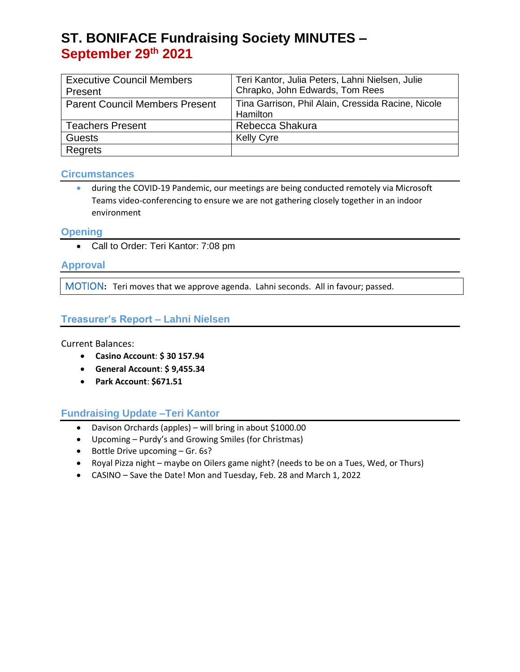# **ST. BONIFACE Fundraising Society MINUTES – September 29th 2021**

| <b>Executive Council Members</b>      | Teri Kantor, Julia Peters, Lahni Nielsen, Julie    |
|---------------------------------------|----------------------------------------------------|
| Present                               | Chrapko, John Edwards, Tom Rees                    |
| <b>Parent Council Members Present</b> | Tina Garrison, Phil Alain, Cressida Racine, Nicole |
|                                       | Hamilton                                           |
| <b>Teachers Present</b>               | Rebecca Shakura                                    |
| <b>Guests</b>                         | <b>Kelly Cyre</b>                                  |
| Regrets                               |                                                    |

#### **Circumstances**

• during the COVID-19 Pandemic, our meetings are being conducted remotely via Microsoft Teams video-conferencing to ensure we are not gathering closely together in an indoor environment

#### **Opening**

• Call to Order: Teri Kantor: 7:08 pm

# **Approval**

MOTION**:** Teri moves that we approve agenda. Lahni seconds. All in favour; passed.

#### **Treasurer's Report – Lahni Nielsen**

Current Balances:

- **Casino Account**: **\$ 30 157.94**
- **General Account**: **\$ 9,455.34**
- **Park Account**: **\$671.51**

# **Fundraising Update –Teri Kantor**

- Davison Orchards (apples) will bring in about \$1000.00
- Upcoming Purdy's and Growing Smiles (for Christmas)
- Bottle Drive upcoming Gr. 6s?
- Royal Pizza night maybe on Oilers game night? (needs to be on a Tues, Wed, or Thurs)
- CASINO Save the Date! Mon and Tuesday, Feb. 28 and March 1, 2022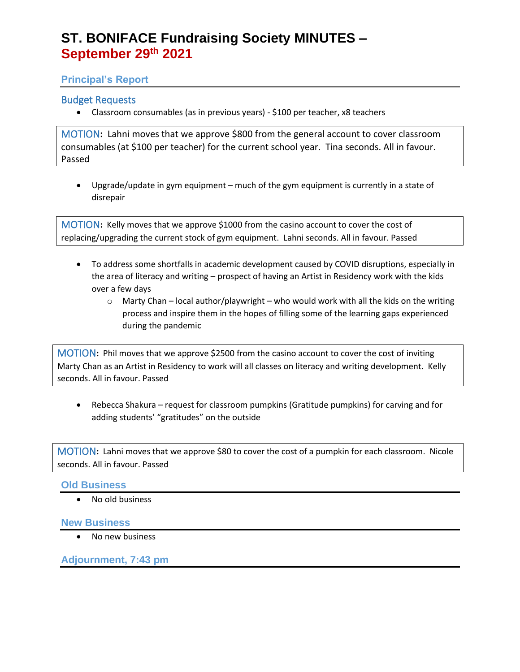# **ST. BONIFACE Fundraising Society MINUTES – September 29th 2021**

# **Principal's Report**

# Budget Requests

• Classroom consumables (as in previous years) - \$100 per teacher, x8 teachers

MOTION**:** Lahni moves that we approve \$800 from the general account to cover classroom consumables (at \$100 per teacher) for the current school year. Tina seconds. All in favour. Passed

• Upgrade/update in gym equipment – much of the gym equipment is currently in a state of disrepair

MOTION**:** Kelly moves that we approve \$1000 from the casino account to cover the cost of replacing/upgrading the current stock of gym equipment. Lahni seconds. All in favour. Passed

- To address some shortfalls in academic development caused by COVID disruptions, especially in the area of literacy and writing – prospect of having an Artist in Residency work with the kids over a few days
	- $\circ$  Marty Chan local author/playwright who would work with all the kids on the writing process and inspire them in the hopes of filling some of the learning gaps experienced during the pandemic

MOTION**:** Phil moves that we approve \$2500 from the casino account to cover the cost of inviting Marty Chan as an Artist in Residency to work will all classes on literacy and writing development. Kelly seconds. All in favour. Passed

• Rebecca Shakura – request for classroom pumpkins (Gratitude pumpkins) for carving and for adding students' "gratitudes" on the outside

MOTION**:** Lahni moves that we approve \$80 to cover the cost of a pumpkin for each classroom. Nicole seconds. All in favour. Passed

#### **Old Business**

• No old business

#### **New Business**

• No new business

#### **Adjournment, 7:43 pm**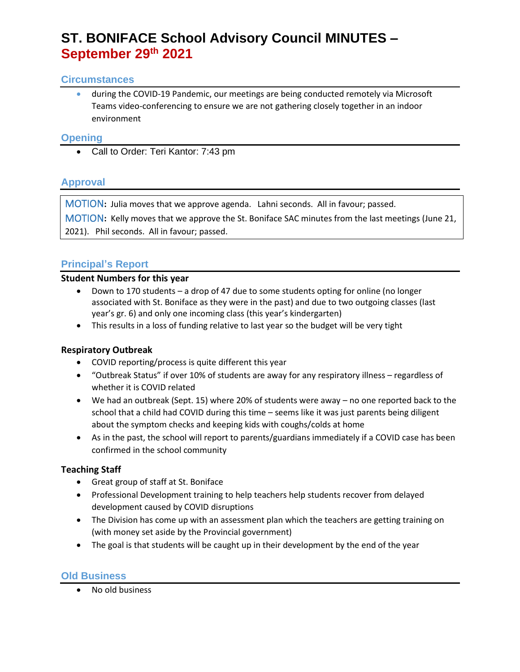# **ST. BONIFACE School Advisory Council MINUTES – September 29th 2021**

#### **Circumstances**

• during the COVID-19 Pandemic, our meetings are being conducted remotely via Microsoft Teams video-conferencing to ensure we are not gathering closely together in an indoor environment

#### **Opening**

• Call to Order: Teri Kantor: 7:43 pm

# **Approval**

MOTION**:** Julia moves that we approve agenda. Lahni seconds. All in favour; passed.

MOTION**:** Kelly moves that we approve the St. Boniface SAC minutes from the last meetings (June 21, 2021). Phil seconds. All in favour; passed.

# **Principal's Report**

#### **Student Numbers for this year**

- Down to 170 students a drop of 47 due to some students opting for online (no longer associated with St. Boniface as they were in the past) and due to two outgoing classes (last year's gr. 6) and only one incoming class (this year's kindergarten)
- This results in a loss of funding relative to last year so the budget will be very tight

# **Respiratory Outbreak**

- COVID reporting/process is quite different this year
- "Outbreak Status" if over 10% of students are away for any respiratory illness regardless of whether it is COVID related
- We had an outbreak (Sept. 15) where 20% of students were away no one reported back to the school that a child had COVID during this time – seems like it was just parents being diligent about the symptom checks and keeping kids with coughs/colds at home
- As in the past, the school will report to parents/guardians immediately if a COVID case has been confirmed in the school community

# **Teaching Staff**

- Great group of staff at St. Boniface
- Professional Development training to help teachers help students recover from delayed development caused by COVID disruptions
- The Division has come up with an assessment plan which the teachers are getting training on (with money set aside by the Provincial government)
- The goal is that students will be caught up in their development by the end of the year

# **Old Business**

• No old business